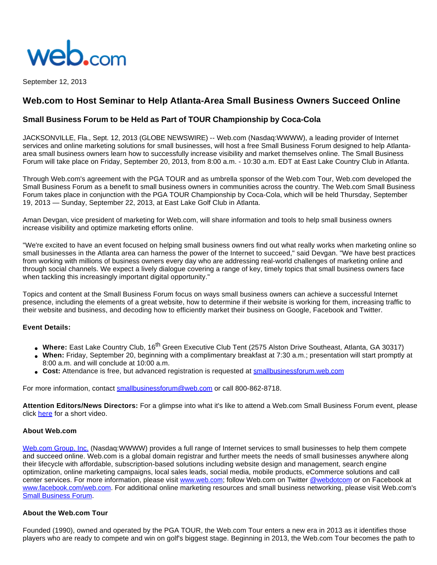

September 12, 2013

# **Web.com to Host Seminar to Help Atlanta-Area Small Business Owners Succeed Online**

# **Small Business Forum to be Held as Part of TOUR Championship by Coca-Cola**

JACKSONVILLE, Fla., Sept. 12, 2013 (GLOBE NEWSWIRE) -- Web.com (Nasdaq:WWWW), a leading provider of Internet services and online marketing solutions for small businesses, will host a free Small Business Forum designed to help Atlantaarea small business owners learn how to successfully increase visibility and market themselves online. The Small Business Forum will take place on Friday, September 20, 2013, from 8:00 a.m. - 10:30 a.m. EDT at East Lake Country Club in Atlanta.

Through Web.com's agreement with the PGA TOUR and as umbrella sponsor of the Web.com Tour, Web.com developed the Small Business Forum as a benefit to small business owners in communities across the country. The Web.com Small Business Forum takes place in conjunction with the PGA TOUR Championship by Coca-Cola, which will be held Thursday, September 19, 2013 — Sunday, September 22, 2013, at East Lake Golf Club in Atlanta.

Aman Devgan, vice president of marketing for Web.com, will share information and tools to help small business owners increase visibility and optimize marketing efforts online.

"We're excited to have an event focused on helping small business owners find out what really works when marketing online so small businesses in the Atlanta area can harness the power of the Internet to succeed," said Devgan. "We have best practices from working with millions of business owners every day who are addressing real-world challenges of marketing online and through social channels. We expect a lively dialogue covering a range of key, timely topics that small business owners face when tackling this increasingly important digital opportunity."

Topics and content at the Small Business Forum focus on ways small business owners can achieve a successful Internet presence, including the elements of a great website, how to determine if their website is working for them, increasing traffic to their website and business, and decoding how to efficiently market their business on Google, Facebook and Twitter.

## **Event Details:**

- **Where:** East Lake Country Club, 16th Green Executive Club Tent (2575 Alston Drive Southeast, Atlanta, GA 30317)
- **When:** Friday, September 20, beginning with a complimentary breakfast at 7:30 a.m.; presentation will start promptly at 8:00 a.m. and will conclude at 10:00 a.m.
- Cost: Attendance is free, but advanced registration is requested at [smallbusinessforum.web.com](http://www.globenewswire.com/newsroom/ctr?d=10048367&l=6&a=smallbusinessforum.web.com&u=http%3A%2F%2Fsmallbusinessforum.web.com%2F)

For more information, contact [smallbusinessforum@web.com](http://www.globenewswire.com/newsroom/ctr?d=10048367&l=7&a=smallbusinessforum%40web.com&u=mailto%3Asmallbusinessforum%40web.com) or call 800-862-8718.

**Attention Editors/News Directors:** For a glimpse into what it's like to attend a Web.com Small Business Forum event, please click [here](http://www.globenewswire.com/newsroom/ctr?d=10048367&l=8&a=here&u=http%3A%2F%2Fwww.youtube.com%2Fwatch%3Fv%3D8_0ql_uo5ZY) for a short video.

### **About Web.com**

[Web.com Group, Inc.](http://www.globenewswire.com/newsroom/ctr?d=10048367&l=10&a=Web.com%20Group%2C%20Inc.&u=http%3A%2F%2Fwww.web.com%2F) (Nasdaq:WWWW) provides a full range of Internet services to small businesses to help them compete and succeed online. Web.com is a global domain registrar and further meets the needs of small businesses anywhere along their lifecycle with affordable, subscription-based solutions including website design and management, search engine optimization, online marketing campaigns, local sales leads, social media, mobile products, eCommerce solutions and call center services. For more information, please visit [www.web.com](http://www.web.com/); follow Web.com on Twitter [@webdotcom](http://www.globenewswire.com/newsroom/ctr?d=10048367&l=10&a=%40webdotcom&u=https%3A%2F%2Ftwitter.com%2Fwebdotcom) or on Facebook at [www.facebook.com/web.com](http://www.facebook.com/web.com). For additional online marketing resources and small business networking, please visit Web.com's [Small Business Forum](http://www.globenewswire.com/newsroom/ctr?d=10048367&l=10&a=Small%20Business%20Forum&u=http%3A%2F%2Fwww.web.com%2Fcommunity%2F).

### **About the Web.com Tour**

Founded (1990), owned and operated by the PGA TOUR, the Web.com Tour enters a new era in 2013 as it identifies those players who are ready to compete and win on golf's biggest stage. Beginning in 2013, the Web.com Tour becomes the path to